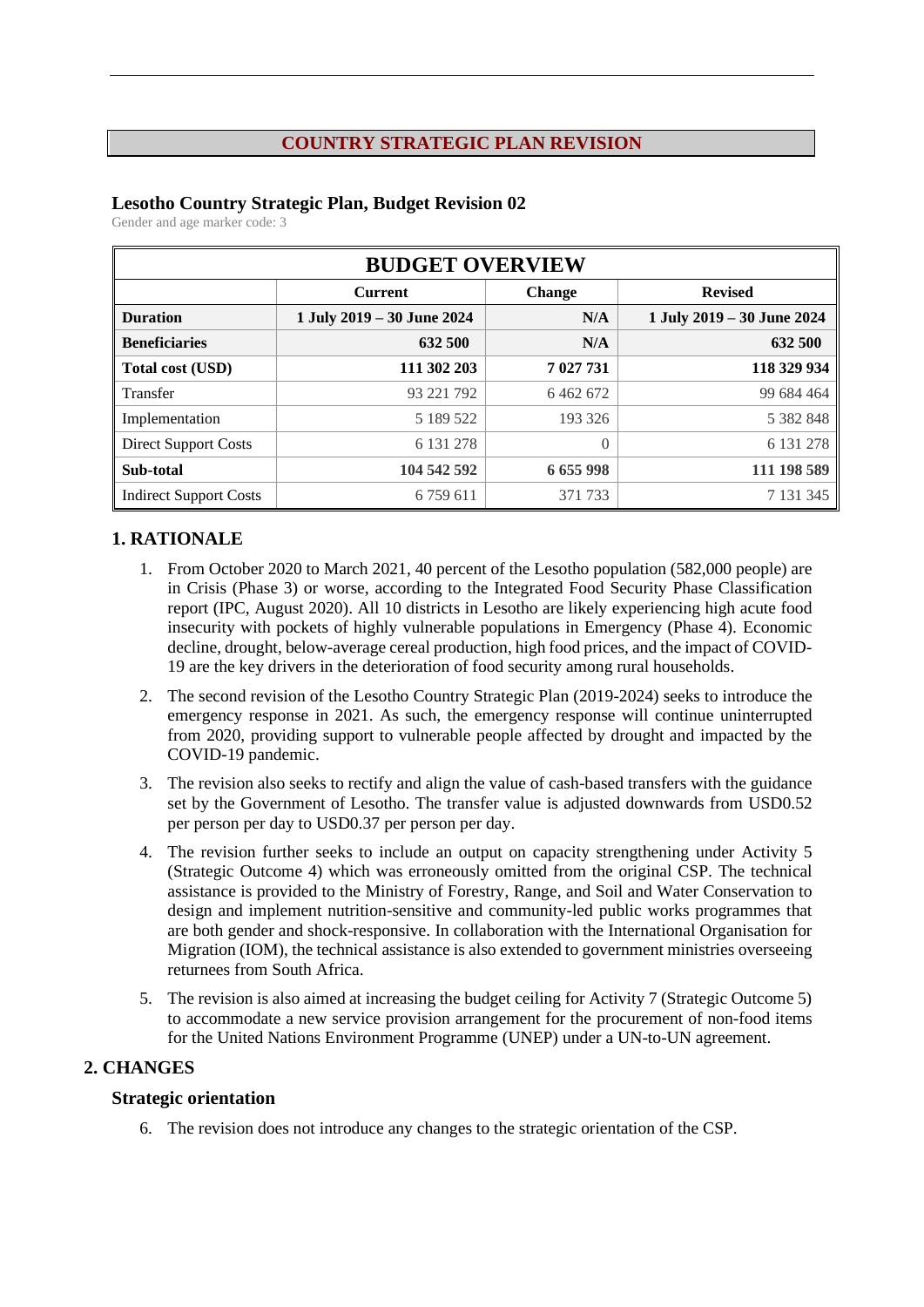#### **COUNTRY STRATEGIC PLAN REVISION**

### **Lesotho Country Strategic Plan, Budget Revision 02**

Gender and age marker code: 3

| <b>BUDGET OVERVIEW</b>        |                            |               |                            |  |  |  |  |  |
|-------------------------------|----------------------------|---------------|----------------------------|--|--|--|--|--|
|                               | <b>Current</b>             | <b>Change</b> | <b>Revised</b>             |  |  |  |  |  |
| <b>Duration</b>               | 1 July 2019 - 30 June 2024 | N/A           | 1 July 2019 - 30 June 2024 |  |  |  |  |  |
| <b>Beneficiaries</b>          | 632 500                    | N/A           | 632 500                    |  |  |  |  |  |
| Total cost (USD)              | 111 302 203                | 7 027 731     | 118 329 934                |  |  |  |  |  |
| Transfer                      | 93 221 792                 | 6 4 6 2 6 7 2 | 99 684 464                 |  |  |  |  |  |
| Implementation                | 5 189 5 22                 | 193 326       | 5 382 848                  |  |  |  |  |  |
| <b>Direct Support Costs</b>   | 6 131 278                  | $\theta$      | 6 131 278                  |  |  |  |  |  |
| Sub-total                     | 104 542 592                | 6655998       | 111 198 589                |  |  |  |  |  |
| <b>Indirect Support Costs</b> | 6 7 5 9 6 1 1              | 371 733       | 7 131 345                  |  |  |  |  |  |

### **1. RATIONALE**

- 1. From October 2020 to March 2021, 40 percent of the Lesotho population (582,000 people) are in Crisis (Phase 3) or worse, according to the Integrated Food Security Phase Classification report (IPC, August 2020). All 10 districts in Lesotho are likely experiencing high acute food insecurity with pockets of highly vulnerable populations in Emergency (Phase 4). Economic decline, drought, below-average cereal production, high food prices, and the impact of COVID-19 are the key drivers in the deterioration of food security among rural households.
- 2. The second revision of the Lesotho Country Strategic Plan (2019-2024) seeks to introduce the emergency response in 2021. As such, the emergency response will continue uninterrupted from 2020, providing support to vulnerable people affected by drought and impacted by the COVID-19 pandemic.
- 3. The revision also seeks to rectify and align the value of cash-based transfers with the guidance set by the Government of Lesotho. The transfer value is adjusted downwards from USD0.52 per person per day to USD0.37 per person per day.
- 4. The revision further seeks to include an output on capacity strengthening under Activity 5 (Strategic Outcome 4) which was erroneously omitted from the original CSP. The technical assistance is provided to the Ministry of Forestry, Range, and Soil and Water Conservation to design and implement nutrition-sensitive and community-led public works programmes that are both gender and shock-responsive. In collaboration with the International Organisation for Migration (IOM), the technical assistance is also extended to government ministries overseeing returnees from South Africa.
- 5. The revision is also aimed at increasing the budget ceiling for Activity 7 (Strategic Outcome 5) to accommodate a new service provision arrangement for the procurement of non-food items for the United Nations Environment Programme (UNEP) under a UN-to-UN agreement.

#### **2. CHANGES**

#### **Strategic orientation**

6. The revision does not introduce any changes to the strategic orientation of the CSP.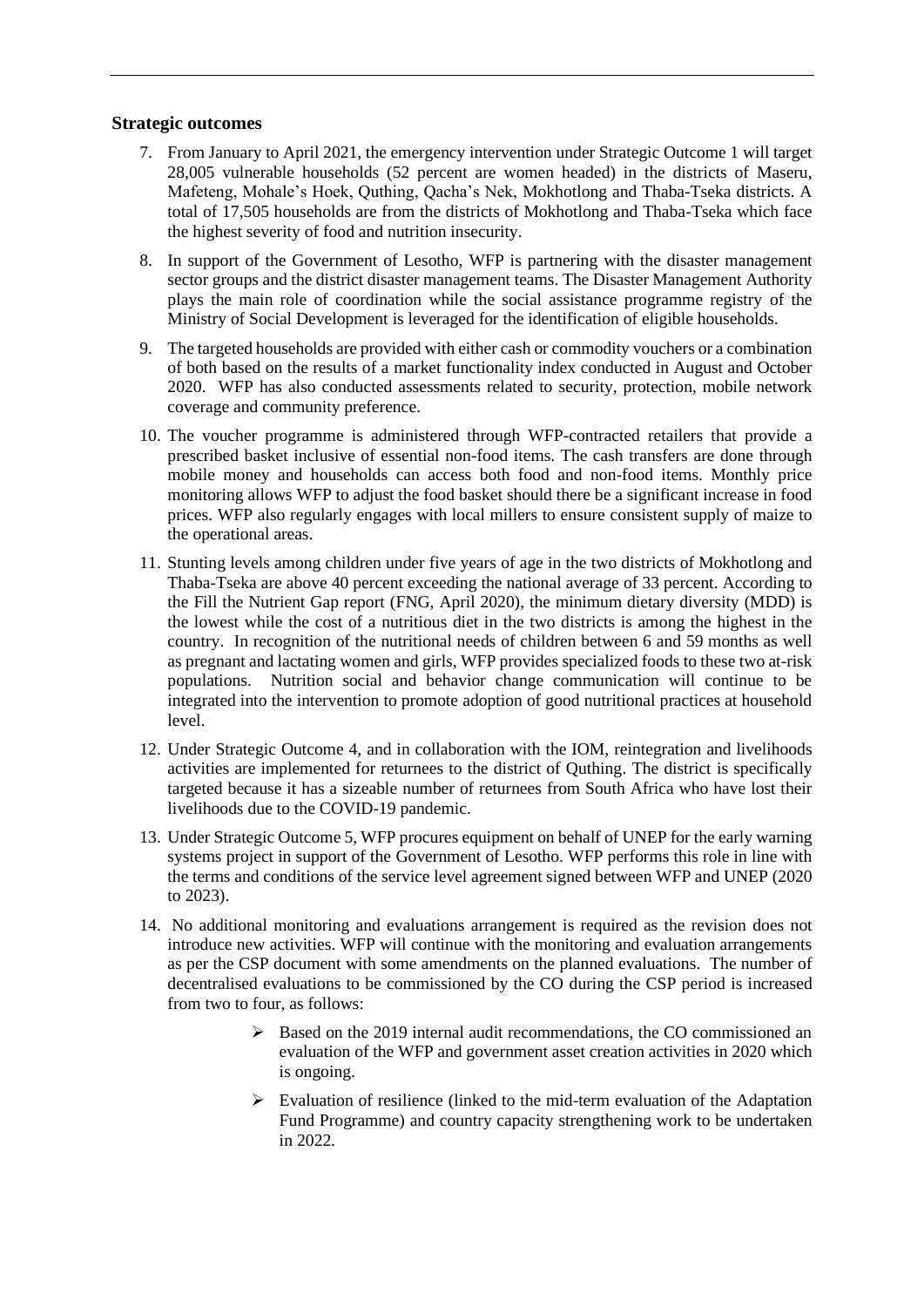#### **Strategic outcomes**

- 7. From January to April 2021, the emergency intervention under Strategic Outcome 1 will target 28,005 vulnerable households (52 percent are women headed) in the districts of Maseru, Mafeteng, Mohale's Hoek, Quthing, Qacha's Nek, Mokhotlong and Thaba-Tseka districts. A total of 17,505 households are from the districts of Mokhotlong and Thaba-Tseka which face the highest severity of food and nutrition insecurity.
- 8. In support of the Government of Lesotho, WFP is partnering with the disaster management sector groups and the district disaster management teams. The Disaster Management Authority plays the main role of coordination while the social assistance programme registry of the Ministry of Social Development is leveraged for the identification of eligible households.
- 9. The targeted households are provided with either cash or commodity vouchers or a combination of both based on the results of a market functionality index conducted in August and October 2020. WFP has also conducted assessments related to security, protection, mobile network coverage and community preference.
- 10. The voucher programme is administered through WFP-contracted retailers that provide a prescribed basket inclusive of essential non-food items. The cash transfers are done through mobile money and households can access both food and non-food items. Monthly price monitoring allows WFP to adjust the food basket should there be a significant increase in food prices. WFP also regularly engages with local millers to ensure consistent supply of maize to the operational areas.
- 11. Stunting levels among children under five years of age in the two districts of Mokhotlong and Thaba-Tseka are above 40 percent exceeding the national average of 33 percent. According to the Fill the Nutrient Gap report (FNG, April 2020), the minimum dietary diversity (MDD) is the lowest while the cost of a nutritious diet in the two districts is among the highest in the country. In recognition of the nutritional needs of children between 6 and 59 months as well as pregnant and lactating women and girls, WFP provides specialized foods to these two at-risk populations. Nutrition social and behavior change communication will continue to be integrated into the intervention to promote adoption of good nutritional practices at household level.
- 12. Under Strategic Outcome 4, and in collaboration with the IOM, reintegration and livelihoods activities are implemented for returnees to the district of Quthing. The district is specifically targeted because it has a sizeable number of returnees from South Africa who have lost their livelihoods due to the COVID-19 pandemic.
- 13. Under Strategic Outcome 5, WFP procures equipment on behalf of UNEP for the early warning systems project in support of the Government of Lesotho. WFP performs this role in line with the terms and conditions of the service level agreement signed between WFP and UNEP (2020 to 2023).
- 14. No additional monitoring and evaluations arrangement is required as the revision does not introduce new activities. WFP will continue with the monitoring and evaluation arrangements as per the CSP document with some amendments on the planned evaluations. The number of decentralised evaluations to be commissioned by the CO during the CSP period is increased from two to four, as follows:
	- $\triangleright$  Based on the 2019 internal audit recommendations, the CO commissioned an evaluation of the WFP and government asset creation activities in 2020 which is ongoing.
	- ➢ Evaluation of resilience (linked to the mid-term evaluation of the Adaptation Fund Programme) and country capacity strengthening work to be undertaken in 2022.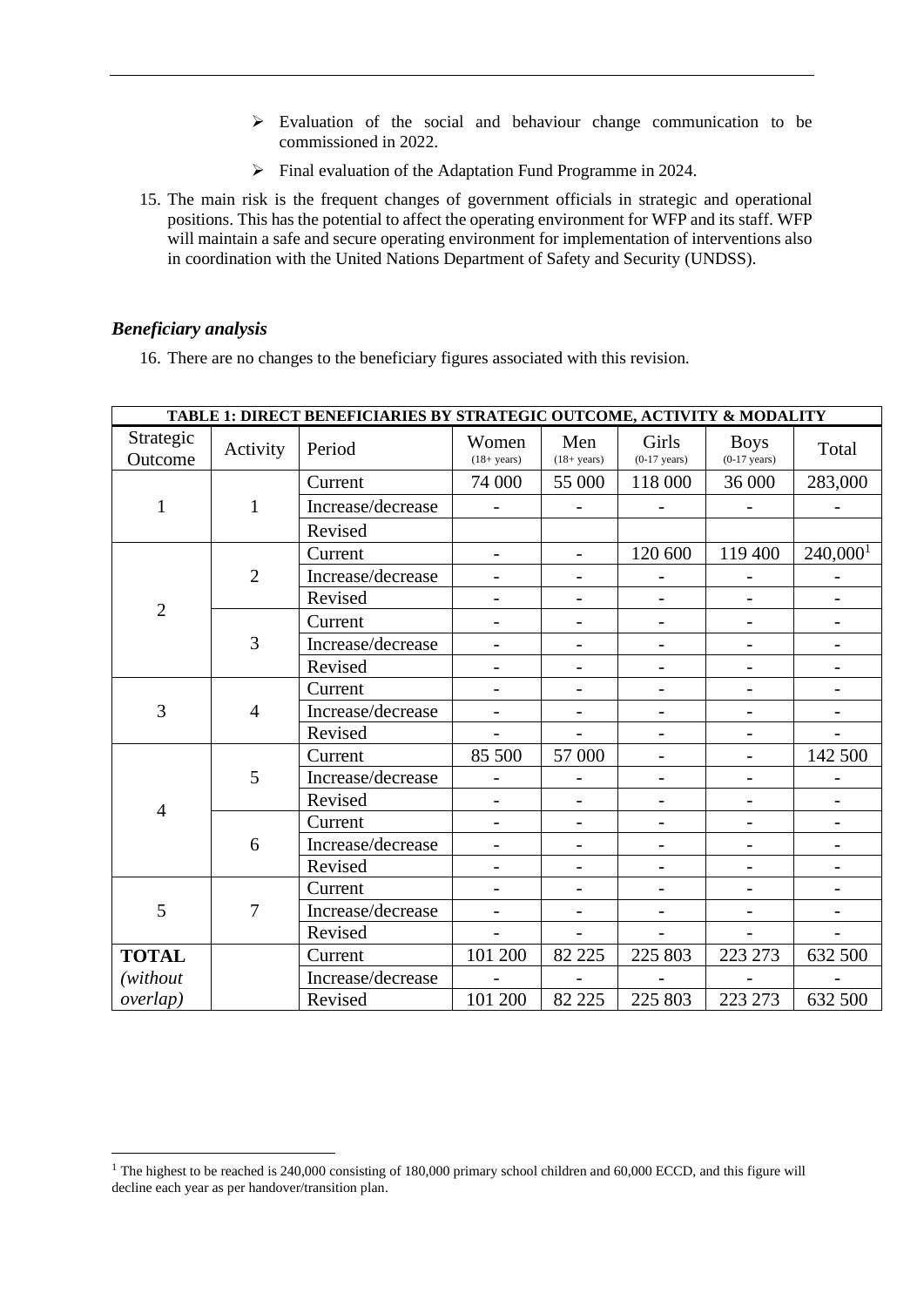- ➢ Evaluation of the social and behaviour change communication to be commissioned in 2022.
- ➢ Final evaluation of the Adaptation Fund Programme in 2024.
- 15. The main risk is the frequent changes of government officials in strategic and operational positions. This has the potential to affect the operating environment for WFP and its staff. WFP will maintain a safe and secure operating environment for implementation of interventions also in coordination with the United Nations Department of Safety and Security (UNDSS).

#### *Beneficiary analysis*

16. There are no changes to the beneficiary figures associated with this revision.

| TABLE 1: DIRECT BENEFICIARIES BY STRATEGIC OUTCOME, ACTIVITY & MODALITY |                |                   |                                |                          |                                 |                               |                          |
|-------------------------------------------------------------------------|----------------|-------------------|--------------------------------|--------------------------|---------------------------------|-------------------------------|--------------------------|
| Strategic<br>Outcome                                                    | Activity       | Period            | Women<br>$(18 + \text{years})$ | Men<br>$(18 + years)$    | Girls<br>$(0-17 \text{ years})$ | <b>Boys</b><br>$(0-17$ years) | Total                    |
|                                                                         |                | Current           | 74 000                         | 55 000                   | 118 000                         | 36 000                        | 283,000                  |
| $\mathbf{1}$                                                            | $\mathbf{1}$   | Increase/decrease |                                |                          |                                 |                               |                          |
|                                                                         |                | Revised           |                                |                          |                                 |                               |                          |
|                                                                         |                | Current           | $\overline{a}$                 | $\overline{\phantom{a}}$ | 120 600                         | 119 400                       | 240,000 <sup>1</sup>     |
|                                                                         | $\overline{2}$ | Increase/decrease | $\overline{a}$                 | $\overline{\phantom{a}}$ |                                 |                               |                          |
|                                                                         |                | Revised           | $\overline{\phantom{0}}$       | $\overline{\phantom{a}}$ |                                 |                               | -                        |
| $\overline{2}$                                                          |                | Current           |                                |                          |                                 |                               |                          |
|                                                                         | 3              | Increase/decrease |                                | $\overline{\phantom{a}}$ |                                 |                               |                          |
|                                                                         |                | Revised           | $\overline{a}$                 | $\overline{\phantom{0}}$ | $\overline{\phantom{0}}$        | $\qquad \qquad -$             |                          |
|                                                                         |                | Current           | $\qquad \qquad -$              | $\overline{\phantom{0}}$ | $\overline{\phantom{a}}$        | $\qquad \qquad \blacksquare$  | $\qquad \qquad -$        |
| 3                                                                       | $\overline{4}$ | Increase/decrease |                                |                          |                                 | $\overline{\phantom{0}}$      |                          |
|                                                                         |                | Revised           |                                |                          |                                 |                               |                          |
|                                                                         |                | Current           | 85 500                         | 57 000                   |                                 | $\overline{\phantom{0}}$      | 142 500                  |
|                                                                         | 5              | Increase/decrease |                                |                          | $\overline{\phantom{a}}$        | $\qquad \qquad \blacksquare$  |                          |
| $\overline{4}$                                                          |                | Revised           |                                |                          |                                 |                               |                          |
|                                                                         |                | Current           | $\overline{a}$                 | $\overline{\phantom{0}}$ |                                 |                               |                          |
|                                                                         | 6              | Increase/decrease | $\overline{\phantom{a}}$       | $\qquad \qquad -$        | $\qquad \qquad -$               | $\qquad \qquad \blacksquare$  | $\overline{\phantom{a}}$ |
|                                                                         |                | Revised           |                                |                          |                                 |                               |                          |
| 5<br>7                                                                  |                | Current           |                                |                          |                                 |                               |                          |
|                                                                         |                | Increase/decrease | $\overline{a}$                 | $\overline{\phantom{a}}$ |                                 |                               |                          |
|                                                                         |                | Revised           |                                |                          |                                 |                               |                          |
| <b>TOTAL</b>                                                            |                | Current           | 101 200                        | 82 225                   | 225 803                         | 223 273                       | 632 500                  |
| (without)                                                               |                | Increase/decrease |                                |                          |                                 |                               |                          |
| overlap)                                                                |                | Revised           | 101 200                        | 82 225                   | 225 803                         | 223 273                       | 632 500                  |

<sup>&</sup>lt;sup>1</sup> The highest to be reached is 240,000 consisting of 180,000 primary school children and 60,000 ECCD, and this figure will decline each year as per handover/transition plan.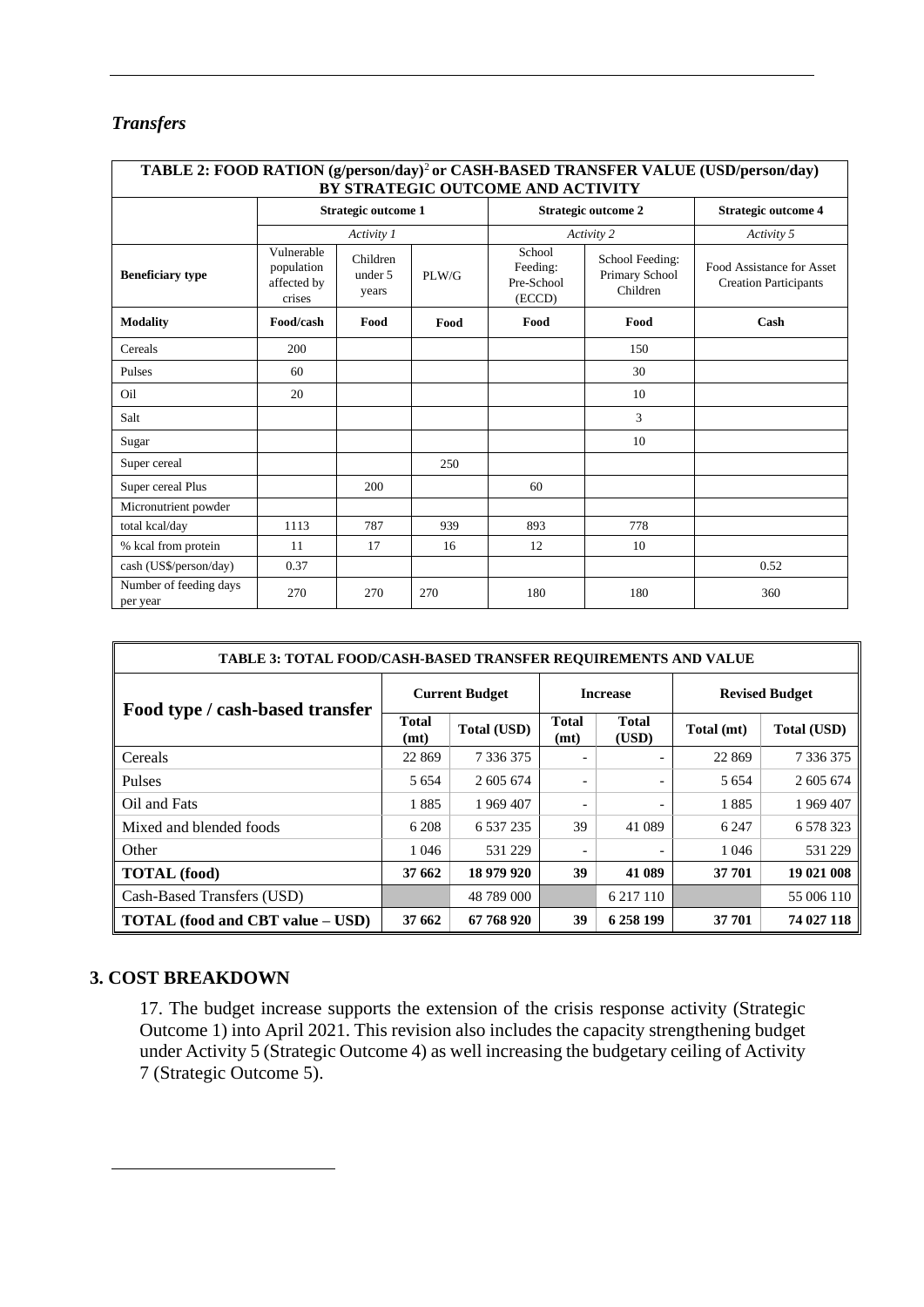# *Transfers*

| TABLE 2: FOOD RATION (g/person/day) <sup>2</sup> or CASH-BASED TRANSFER VALUE (USD/person/day)<br>BY STRATEGIC OUTCOME AND ACTIVITY |                                                   |                              |       |                                                                                             |                            |                                                           |  |  |  |
|-------------------------------------------------------------------------------------------------------------------------------------|---------------------------------------------------|------------------------------|-------|---------------------------------------------------------------------------------------------|----------------------------|-----------------------------------------------------------|--|--|--|
|                                                                                                                                     | <b>Strategic outcome 1</b>                        |                              |       |                                                                                             | <b>Strategic outcome 2</b> | <b>Strategic outcome 4</b>                                |  |  |  |
|                                                                                                                                     |                                                   | Activity 1                   |       |                                                                                             | Activity 2                 | Activity 5                                                |  |  |  |
| <b>Beneficiary type</b>                                                                                                             | Vulnerable<br>population<br>affected by<br>crises | Children<br>under 5<br>years | PLW/G | School<br>School Feeding:<br>Feeding:<br>Primary School<br>Pre-School<br>Children<br>(ECCD) |                            | Food Assistance for Asset<br><b>Creation Participants</b> |  |  |  |
| <b>Modality</b>                                                                                                                     | Food/cash                                         | Food                         | Food  | Food                                                                                        | Food                       | Cash                                                      |  |  |  |
| Cereals                                                                                                                             | 200                                               |                              |       |                                                                                             | 150                        |                                                           |  |  |  |
| Pulses                                                                                                                              | 60                                                |                              |       |                                                                                             | 30                         |                                                           |  |  |  |
| Oil                                                                                                                                 | 20                                                |                              |       |                                                                                             | 10                         |                                                           |  |  |  |
| Salt                                                                                                                                |                                                   |                              |       |                                                                                             | 3                          |                                                           |  |  |  |
| Sugar                                                                                                                               |                                                   |                              |       |                                                                                             | 10                         |                                                           |  |  |  |
| Super cereal                                                                                                                        |                                                   |                              | 250   |                                                                                             |                            |                                                           |  |  |  |
| Super cereal Plus                                                                                                                   |                                                   | 200                          |       | 60                                                                                          |                            |                                                           |  |  |  |
| Micronutrient powder                                                                                                                |                                                   |                              |       |                                                                                             |                            |                                                           |  |  |  |
| total kcal/day                                                                                                                      | 1113                                              | 787                          | 939   | 893                                                                                         | 778                        |                                                           |  |  |  |
| % kcal from protein                                                                                                                 | 11                                                | 17                           | 16    | 12                                                                                          | 10                         |                                                           |  |  |  |
| cash (US\$/person/day)                                                                                                              | 0.37                                              |                              |       |                                                                                             |                            | 0.52                                                      |  |  |  |
| Number of feeding days<br>per year                                                                                                  | 270                                               | 270                          | 270   | 180                                                                                         | 180                        | 360                                                       |  |  |  |

| <b>TABLE 3: TOTAL FOOD/CASH-BASED TRANSFER REOUIREMENTS AND VALUE</b> |                       |               |                          |                       |                       |                    |  |  |
|-----------------------------------------------------------------------|-----------------------|---------------|--------------------------|-----------------------|-----------------------|--------------------|--|--|
| Food type / cash-based transfer                                       | <b>Current Budget</b> |               | <b>Increase</b>          |                       | <b>Revised Budget</b> |                    |  |  |
|                                                                       | <b>Total</b><br>(mt)  | Total (USD)   | <b>Total</b><br>(mt)     | <b>Total</b><br>(USD) | Total (mt)            | <b>Total (USD)</b> |  |  |
| Cereals                                                               | 22 869                | 7 3 3 6 3 7 5 |                          |                       | 22 8 6 9              | 7 3 3 6 3 7 5      |  |  |
| Pulses                                                                | 5 6 5 4               | 2 605 674     | $\overline{\phantom{a}}$ |                       | 5 6 5 4               | 2 605 674          |  |  |
| Oil and Fats                                                          | 1885                  | 1 969 407     | $\overline{\phantom{0}}$ |                       | 1885                  | 1969 407           |  |  |
| Mixed and blended foods                                               | 6 208                 | 6 5 3 7 2 3 5 | 39                       | 41 089                | 6 2 4 7               | 6 5 7 8 3 2 3      |  |  |
| Other                                                                 | 1 0 4 6               | 531 229       |                          |                       | 1 0 4 6               | 531 229            |  |  |
| <b>TOTAL</b> (food)                                                   | 37 662                | 18 979 920    | 39                       | 41 089                | 37 701                | 19 021 008         |  |  |
| Cash-Based Transfers (USD)                                            |                       | 48 789 000    |                          | 6 217 110             |                       | 55 006 110         |  |  |
| <b>TOTAL</b> (food and CBT value – USD)                               | 37 662                | 67 768 920    | 39                       | 6 258 199             | 37 701                | 74 027 118         |  |  |

## **3. COST BREAKDOWN**

17. The budget increase supports the extension of the crisis response activity (Strategic Outcome 1) into April 2021. This revision also includes the capacity strengthening budget under Activity 5 (Strategic Outcome 4) as well increasing the budgetary ceiling of Activity 7 (Strategic Outcome 5).